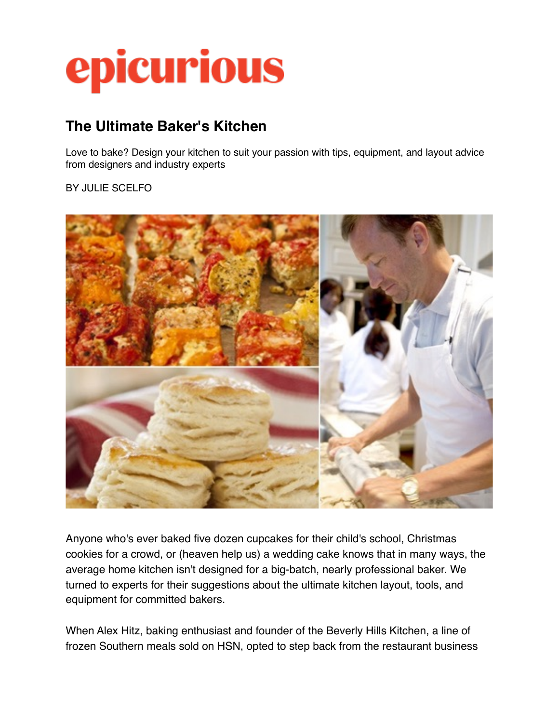# epicurious

# **The Ultimate Baker's Kitchen**

Love to bake? Design your kitchen to suit your passion with tips, equipment, and layout advice from designers and industry experts

BY JULIE SCELFO



Anyone who's ever baked five dozen cupcakes for their child's school, Christmas cookies for a crowd, or (heaven help us) a wedding cake knows that in many ways, the average home kitchen isn't designed for a big-batch, nearly professional baker. We turned to experts for their suggestions about the ultimate kitchen layout, tools, and equipment for committed bakers.

When Alex Hitz, baking enthusiast and founder of the Beverly Hills Kitchen, a line of frozen Southern meals sold on HSN, opted to step back from the restaurant business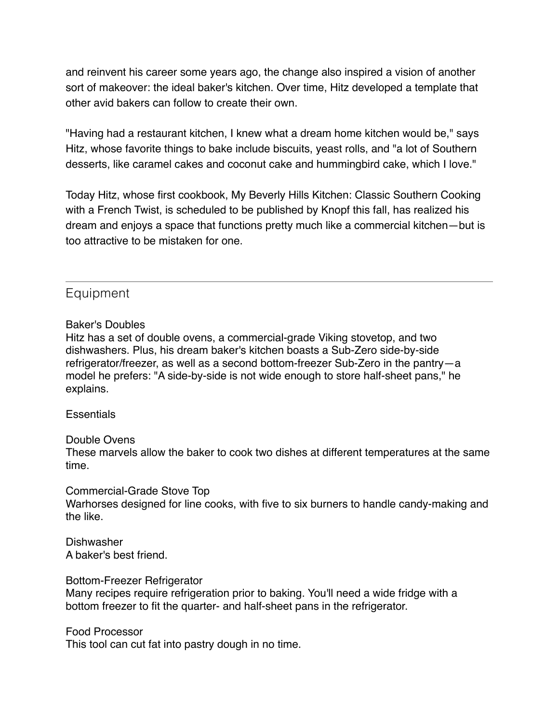and reinvent his career some years ago, the change also inspired a vision of another sort of makeover: the ideal baker's kitchen. Over time, Hitz developed a template that other avid bakers can follow to create their own.

"Having had a restaurant kitchen, I knew what a dream home kitchen would be," says Hitz, whose favorite things to bake include biscuits, yeast rolls, and "a lot of Southern desserts, like caramel cakes and coconut cake and hummingbird cake, which I love."

Today Hitz, whose first cookbook, My Beverly Hills Kitchen: Classic Southern Cooking with a French Twist, is scheduled to be published by Knopf this fall, has realized his dream and enjoys a space that functions pretty much like a commercial kitchen—but is too attractive to be mistaken for one.

# Equipment

#### Baker's Doubles

Hitz has a set of double ovens, a commercial-grade Viking stovetop, and two dishwashers. Plus, his dream baker's kitchen boasts a Sub-Zero side-by-side refrigerator/freezer, as well as a second bottom-freezer Sub-Zero in the pantry—a model he prefers: "A side-by-side is not wide enough to store half-sheet pans," he explains.

#### **Essentials**

#### Double Ovens

These marvels allow the baker to cook two dishes at different temperatures at the same time.

#### Commercial-Grade Stove Top

Warhorses designed for line cooks, with five to six burners to handle candy-making and the like.

**Dishwasher** A baker's best friend.

#### Bottom-Freezer Refrigerator

Many recipes require refrigeration prior to baking. You'll need a wide fridge with a bottom freezer to fit the quarter- and half-sheet pans in the refrigerator.

Food Processor This tool can cut fat into pastry dough in no time.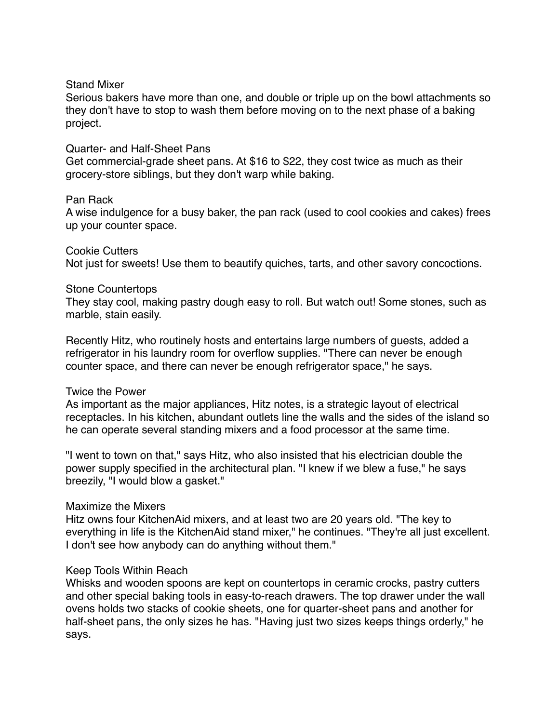#### Stand Mixer

Serious bakers have more than one, and double or triple up on the bowl attachments so they don't have to stop to wash them before moving on to the next phase of a baking project.

#### Quarter- and Half-Sheet Pans

Get commercial-grade sheet pans. At \$16 to \$22, they cost twice as much as their grocery-store siblings, but they don't warp while baking.

#### Pan Rack

A wise indulgence for a busy baker, the pan rack (used to cool cookies and cakes) frees up your counter space.

Cookie Cutters Not just for sweets! Use them to beautify quiches, tarts, and other savory concoctions.

#### Stone Countertops

They stay cool, making pastry dough easy to roll. But watch out! Some stones, such as marble, stain easily.

Recently Hitz, who routinely hosts and entertains large numbers of guests, added a refrigerator in his laundry room for overflow supplies. "There can never be enough counter space, and there can never be enough refrigerator space," he says.

#### Twice the Power

As important as the major appliances, Hitz notes, is a strategic layout of electrical receptacles. In his kitchen, abundant outlets line the walls and the sides of the island so he can operate several standing mixers and a food processor at the same time.

"I went to town on that," says Hitz, who also insisted that his electrician double the power supply specified in the architectural plan. "I knew if we blew a fuse," he says breezily, "I would blow a gasket."

#### Maximize the Mixers

Hitz owns four KitchenAid mixers, and at least two are 20 years old. "The key to everything in life is the KitchenAid stand mixer," he continues. "They're all just excellent. I don't see how anybody can do anything without them."

#### Keep Tools Within Reach

Whisks and wooden spoons are kept on countertops in ceramic crocks, pastry cutters and other special baking tools in easy-to-reach drawers. The top drawer under the wall ovens holds two stacks of cookie sheets, one for quarter-sheet pans and another for half-sheet pans, the only sizes he has. "Having just two sizes keeps things orderly," he says.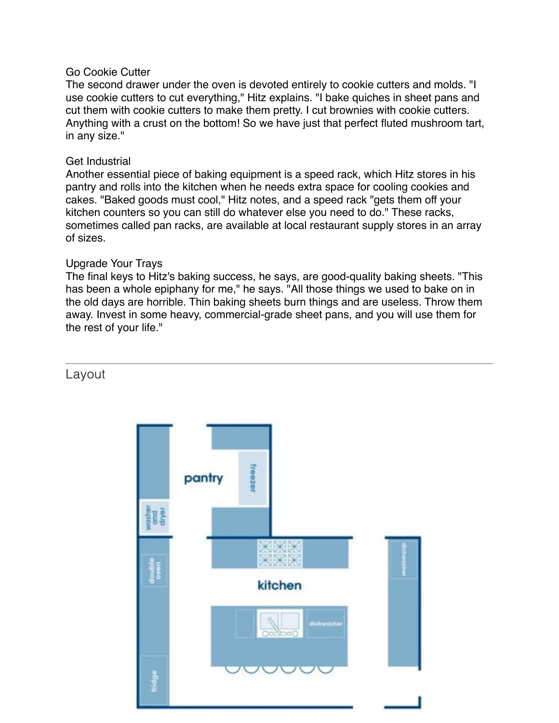#### Go Cookie Cutter

The second drawer under the oven is devoted entirely to cookie cutters and molds. "I use cookie cutters to cut everything," Hitz explains. "I bake quiches in sheet pans and cut them with cookie cutters to make them pretty. I cut brownies with cookie cutters. Anything with a crust on the bottom! So we have just that perfect fluted mushroom tart, in any size."

#### Get Industrial

Another essential piece of baking equipment is a speed rack, which Hitz stores in his pantry and rolls into the kitchen when he needs extra space for cooling cookies and cakes. "Baked goods must cool," Hitz notes, and a speed rack "gets them off your kitchen counters so you can still do whatever else you need to do." These racks, sometimes called pan racks, are available at local restaurant supply stores in an array of sizes.

#### Upgrade Your Trays

The final keys to Hitz's baking success, he says, are good-quality baking sheets. "This has been a whole epiphany for me," he says. "All those things we used to bake on in the old days are horrible. Thin baking sheets burn things and are useless. Throw them away. Invest in some heavy, commercial-grade sheet pans, and you will use them for the rest of your life."

# Layout

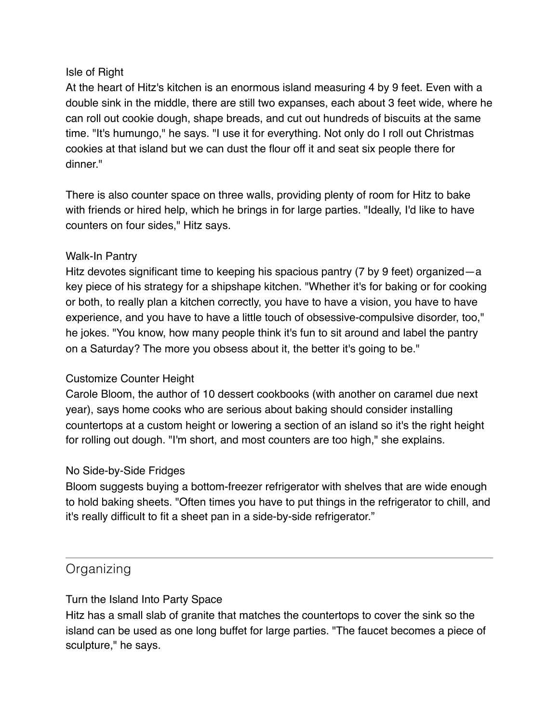# Isle of Right

At the heart of Hitz's kitchen is an enormous island measuring 4 by 9 feet. Even with a double sink in the middle, there are still two expanses, each about 3 feet wide, where he can roll out cookie dough, shape breads, and cut out hundreds of biscuits at the same time. "It's humungo," he says. "I use it for everything. Not only do I roll out Christmas cookies at that island but we can dust the flour off it and seat six people there for dinner."

There is also counter space on three walls, providing plenty of room for Hitz to bake with friends or hired help, which he brings in for large parties. "Ideally, I'd like to have counters on four sides," Hitz says.

# Walk-In Pantry

Hitz devotes significant time to keeping his spacious pantry (7 by 9 feet) organized—a key piece of his strategy for a shipshape kitchen. "Whether it's for baking or for cooking or both, to really plan a kitchen correctly, you have to have a vision, you have to have experience, and you have to have a little touch of obsessive-compulsive disorder, too," he jokes. "You know, how many people think it's fun to sit around and label the pantry on a Saturday? The more you obsess about it, the better it's going to be."

# Customize Counter Height

Carole Bloom, the author of 10 dessert cookbooks (with another on caramel due next year), says home cooks who are serious about baking should consider installing countertops at a custom height or lowering a section of an island so it's the right height for rolling out dough. "I'm short, and most counters are too high," she explains.

# No Side-by-Side Fridges

Bloom suggests buying a bottom-freezer refrigerator with shelves that are wide enough to hold baking sheets. "Often times you have to put things in the refrigerator to chill, and it's really difficult to fit a sheet pan in a side-by-side refrigerator."

# **Organizing**

# Turn the Island Into Party Space

Hitz has a small slab of granite that matches the countertops to cover the sink so the island can be used as one long buffet for large parties. "The faucet becomes a piece of sculpture," he says.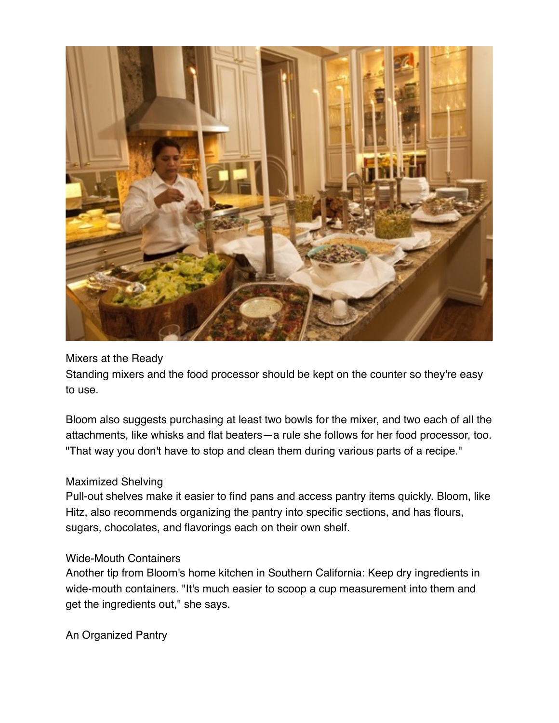

# Mixers at the Ready

Standing mixers and the food processor should be kept on the counter so they're easy to use.

Bloom also suggests purchasing at least two bowls for the mixer, and two each of all the attachments, like whisks and flat beaters—a rule she follows for her food processor, too. "That way you don't have to stop and clean them during various parts of a recipe."

#### Maximized Shelving

Pull-out shelves make it easier to find pans and access pantry items quickly. Bloom, like Hitz, also recommends organizing the pantry into specific sections, and has flours, sugars, chocolates, and flavorings each on their own shelf.

# Wide-Mouth Containers

Another tip from Bloom's home kitchen in Southern California: Keep dry ingredients in wide-mouth containers. "It's much easier to scoop a cup measurement into them and get the ingredients out," she says.

An Organized Pantry